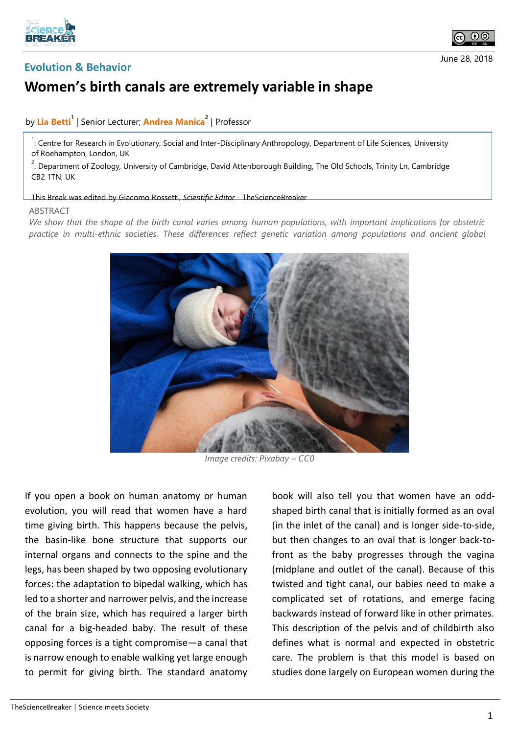





## **Women's birth canals are extremely variable in shape**

## by **Lia Betti<sup>1</sup>** | Senior Lecturer; **Andrea Manica<sup>2</sup>** | Professor

<sup>1</sup>: Centre for Research in Evolutionary, Social and Inter-Disciplinary Anthropology, Department of Life Sciences, University of Roehampton, London, UK

 $2^2$ : Department of Zoology, University of Cambridge, David Attenborough Building, The Old Schools, Trinity Ln, Cambridge CB2 1TN, UK

## This Break was edited by Giacomo Rossetti, *Scientific Editor* - TheScienceBreaker

## ABSTRACT

*We show that the shape of the birth canal varies among human populations, with important implications for obstetric practice in multi-ethnic societies. These differences reflect genetic variation among populations and ancient global* 



*Image credits: Pixabay – CC0*

If you open a book on human anatomy or human evolution, you will read that women have a hard time giving birth. This happens because the pelvis, the basin-like bone structure that supports our internal organs and connects to the spine and the legs, has been shaped by two opposing evolutionary forces: the adaptation to bipedal walking, which has led to a shorter and narrower pelvis, and the increase of the brain size, which has required a larger birth canal for a big-headed baby. The result of these opposing forces is a tight compromise—a canal that is narrow enough to enable walking yet large enough to permit for giving birth. The standard anatomy

book will also tell you that women have an oddshaped birth canal that is initially formed as an oval (in the inlet of the canal) and is longer side-to-side, but then changes to an oval that is longer back-tofront as the baby progresses through the vagina (midplane and outlet of the canal). Because of this twisted and tight canal, our babies need to make a complicated set of rotations, and emerge facing backwards instead of forward like in other primates. This description of the pelvis and of childbirth also defines what is normal and expected in obstetric care. The problem is that this model is based on studies done largely on European women during the